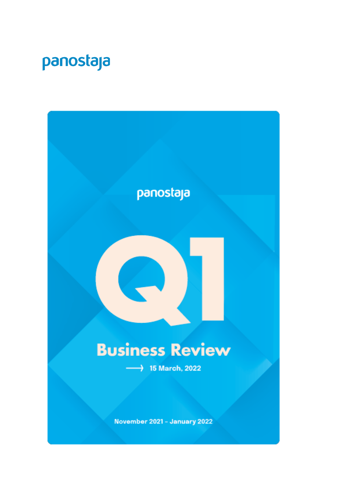# panostaja

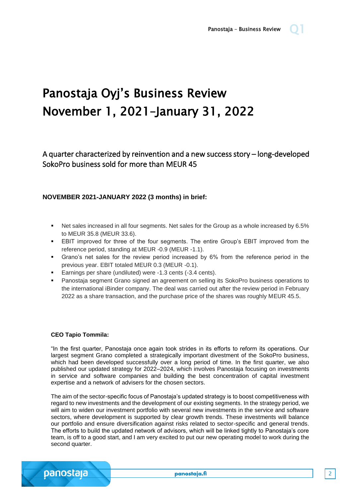# Panostaja Oyj's Business Review November 1, 2021–January 31, 2022

A quarter characterized by reinvention and a new success story – long-developed SokoPro business sold for more than MEUR 45

### **NOVEMBER 2021-JANUARY 2022 (3 months) in brief:**

- Net sales increased in all four segments. Net sales for the Group as a whole increased by 6.5% to MEUR 35.8 (MEUR 33.6).
- EBIT improved for three of the four segments. The entire Group's EBIT improved from the reference period, standing at MEUR -0.9 (MEUR -1.1).
- Grano's net sales for the review period increased by 6% from the reference period in the previous year. EBIT totaled MEUR 0.3 (MEUR -0.1).
- Earnings per share (undiluted) were -1.3 cents (-3.4 cents).
- Panostaja segment Grano signed an agreement on selling its SokoPro business operations to the international iBinder company. The deal was carried out after the review period in February 2022 as a share transaction, and the purchase price of the shares was roughly MEUR 45.5.

### **CEO Tapio Tommila:**

"In the first quarter, Panostaja once again took strides in its efforts to reform its operations. Our largest segment Grano completed a strategically important divestment of the SokoPro business, which had been developed successfully over a long period of time. In the first quarter, we also published our updated strategy for 2022–2024, which involves Panostaja focusing on investments in service and software companies and building the best concentration of capital investment expertise and a network of advisers for the chosen sectors.

The aim of the sector-specific focus of Panostaja's updated strategy is to boost competitiveness with regard to new investments and the development of our existing segments. In the strategy period, we will aim to widen our investment portfolio with several new investments in the service and software sectors, where development is supported by clear growth trends. These investments will balance our portfolio and ensure diversification against risks related to sector-specific and general trends. The efforts to build the updated network of advisors, which will be linked tightly to Panostaja's core team, is off to a good start, and I am very excited to put our new operating model to work during the second quarter.

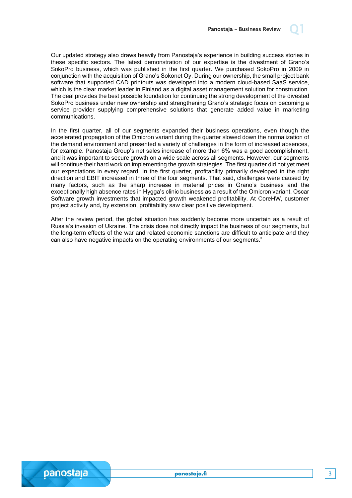

In the first quarter, all of our segments expanded their business operations, even though the accelerated propagation of the Omicron variant during the quarter slowed down the normalization of the demand environment and presented a variety of challenges in the form of increased absences, for example. Panostaja Group's net sales increase of more than 6% was a good accomplishment, and it was important to secure growth on a wide scale across all segments. However, our segments will continue their hard work on implementing the growth strategies. The first quarter did not yet meet our expectations in every regard. In the first quarter, profitability primarily developed in the right direction and EBIT increased in three of the four segments. That said, challenges were caused by many factors, such as the sharp increase in material prices in Grano's business and the exceptionally high absence rates in Hygga's clinic business as a result of the Omicron variant. Oscar Software growth investments that impacted growth weakened profitability. At CoreHW, customer project activity and, by extension, profitability saw clear positive development.

After the review period, the global situation has suddenly become more uncertain as a result of Russia's invasion of Ukraine. The crisis does not directly impact the business of our segments, but the long-term effects of the war and related economic sanctions are difficult to anticipate and they can also have negative impacts on the operating environments of our segments."



panostaja.fi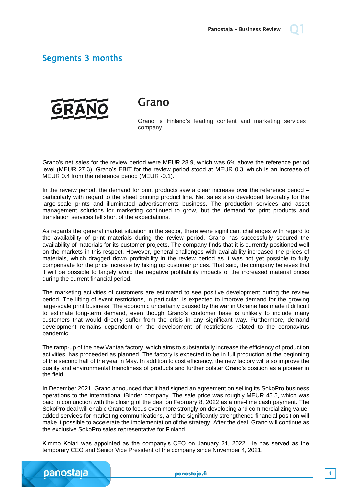### Segments 3 months



Grano

Grano is Finland's leading content and marketing services company

Grano's net sales for the review period were MEUR 28.9, which was 6% above the reference period level (MEUR 27.3). Grano's EBIT for the review period stood at MEUR 0.3, which is an increase of MEUR 0.4 from the reference period (MEUR -0.1).

In the review period, the demand for print products saw a clear increase over the reference period – particularly with regard to the sheet printing product line. Net sales also developed favorably for the large-scale prints and illuminated advertisements business. The production services and asset management solutions for marketing continued to grow, but the demand for print products and translation services fell short of the expectations.

As regards the general market situation in the sector, there were significant challenges with regard to the availability of print materials during the review period. Grano has successfully secured the availability of materials for its customer projects. The company finds that it is currently positioned well on the markets in this respect. However, general challenges with availability increased the prices of materials, which dragged down profitability in the review period as it was not yet possible to fully compensate for the price increase by hiking up customer prices. That said, the company believes that it will be possible to largely avoid the negative profitability impacts of the increased material prices during the current financial period.

The marketing activities of customers are estimated to see positive development during the review period. The lifting of event restrictions, in particular, is expected to improve demand for the growing large-scale print business. The economic uncertainty caused by the war in Ukraine has made it difficult to estimate long-term demand, even though Grano's customer base is unlikely to include many customers that would directly suffer from the crisis in any significant way. Furthermore, demand development remains dependent on the development of restrictions related to the coronavirus pandemic.

The ramp-up of the new Vantaa factory, which aims to substantially increase the efficiency of production activities, has proceeded as planned. The factory is expected to be in full production at the beginning of the second half of the year in May. In addition to cost efficiency, the new factory will also improve the quality and environmental friendliness of products and further bolster Grano's position as a pioneer in the field.

In December 2021, Grano announced that it had signed an agreement on selling its SokoPro business operations to the international iBinder company. The sale price was roughly MEUR 45.5, which was paid in conjunction with the closing of the deal on February 8, 2022 as a one-time cash payment. The SokoPro deal will enable Grano to focus even more strongly on developing and commercializing valueadded services for marketing communications, and the significantly strengthened financial position will make it possible to accelerate the implementation of the strategy. After the deal, Grano will continue as the exclusive SokoPro sales representative for Finland.

Kimmo Kolari was appointed as the company's CEO on January 21, 2022. He has served as the temporary CEO and Senior Vice President of the company since November 4, 2021.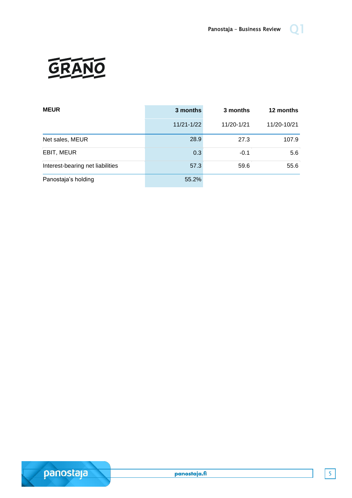

| <b>MEUR</b>                      | 3 months   | 3 months   | 12 months   |
|----------------------------------|------------|------------|-------------|
|                                  | 11/21-1/22 | 11/20-1/21 | 11/20-10/21 |
| Net sales, MEUR                  | 28.9       | 27.3       | 107.9       |
| EBIT, MEUR                       | 0.3        | $-0.1$     | 5.6         |
| Interest-bearing net liabilities | 57.3       | 59.6       | 55.6        |
| Panostaja's holding              | 55.2%      |            |             |



panostaja.fi

5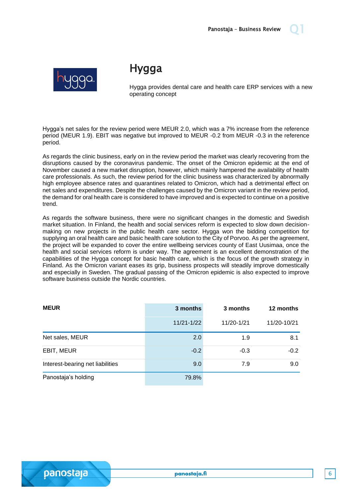

## Hygga

Hygga provides dental care and health care ERP services with a new operating concept

Hygga's net sales for the review period were MEUR 2.0, which was a 7% increase from the reference period (MEUR 1.9). EBIT was negative but improved to MEUR -0.2 from MEUR -0.3 in the reference period.

As regards the clinic business, early on in the review period the market was clearly recovering from the disruptions caused by the coronavirus pandemic. The onset of the Omicron epidemic at the end of November caused a new market disruption, however, which mainly hampered the availability of health care professionals. As such, the review period for the clinic business was characterized by abnormally high employee absence rates and quarantines related to Omicron, which had a detrimental effect on net sales and expenditures. Despite the challenges caused by the Omicron variant in the review period, the demand for oral health care is considered to have improved and is expected to continue on a positive trend.

As regards the software business, there were no significant changes in the domestic and Swedish market situation. In Finland, the health and social services reform is expected to slow down decisionmaking on new projects in the public health care sector. Hygga won the bidding competition for supplying an oral health care and basic health care solution to the City of Porvoo. As per the agreement, the project will be expanded to cover the entire wellbeing services county of East Uusimaa, once the health and social services reform is under way. The agreement is an excellent demonstration of the capabilities of the Hygga concept for basic health care, which is the focus of the growth strategy in Finland. As the Omicron variant eases its grip, business prospects will steadily improve domestically and especially in Sweden. The gradual passing of the Omicron epidemic is also expected to improve software business outside the Nordic countries.

| <b>MEUR</b>                      | 3 months       | 3 months   | 12 months   |
|----------------------------------|----------------|------------|-------------|
|                                  | $11/21 - 1/22$ | 11/20-1/21 | 11/20-10/21 |
| Net sales, MEUR                  | 2.0            | 1.9        | 8.1         |
| EBIT, MEUR                       | $-0.2$         | $-0.3$     | $-0.2$      |
| Interest-bearing net liabilities | 9.0            | 7.9        | 9.0         |
| Panostaja's holding              | 79.8%          |            |             |

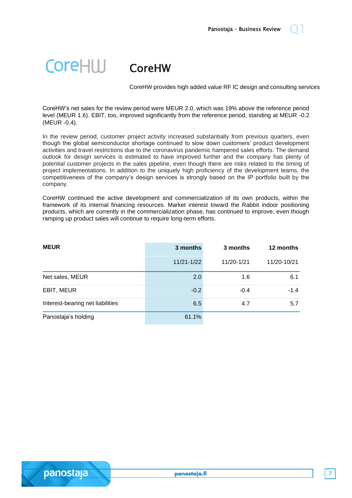### **CoreHIII** CoreHW

CoreHW provides high added value RF IC design and consulting services

CoreHW's net sales for the review period were MEUR 2.0, which was 19% above the reference period level (MEUR 1.6). EBIT, too, improved significantly from the reference period, standing at MEUR -0.2 (MEUR -0.4).

In the review period, customer project activity increased substantially from previous quarters, even though the global semiconductor shortage continued to slow down customers' product development activities and travel restrictions due to the coronavirus pandemic hampered sales efforts. The demand outlook for design services is estimated to have improved further and the company has plenty of potential customer projects in the sales pipeline, even though there are risks related to the timing of project implementations. In addition to the uniquely high proficiency of the development teams, the competitiveness of the company's design services is strongly based on the IP portfolio built by the company.

CoreHW continued the active development and commercialization of its own products, within the framework of its internal financing resources. Market interest toward the Rabbit indoor positioning products, which are currently in the commercialization phase, has continued to improve, even though ramping up product sales will continue to require long-term efforts.

| <b>MEUR</b>                      | 3 months       | 3 months   | 12 months   |
|----------------------------------|----------------|------------|-------------|
|                                  | $11/21 - 1/22$ | 11/20-1/21 | 11/20-10/21 |
| Net sales, MEUR                  | 2.0            | 1.6        | 6.1         |
| EBIT, MEUR                       | $-0.2$         | $-0.4$     | $-1.4$      |
| Interest-bearing net liabilities | 6.5            | 4.7        | 5.7         |
| Panostaja's holding              | 61.1%          |            |             |

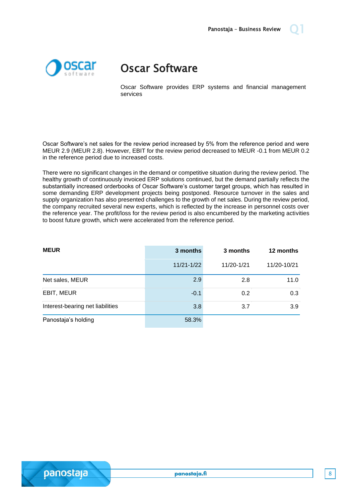

## Oscar Software

Oscar Software provides ERP systems and financial management services

Oscar Software's net sales for the review period increased by 5% from the reference period and were MEUR 2.9 (MEUR 2.8). However, EBIT for the review period decreased to MEUR -0.1 from MEUR 0.2 in the reference period due to increased costs.

There were no significant changes in the demand or competitive situation during the review period. The healthy growth of continuously invoiced ERP solutions continued, but the demand partially reflects the substantially increased orderbooks of Oscar Software's customer target groups, which has resulted in some demanding ERP development projects being postponed. Resource turnover in the sales and supply organization has also presented challenges to the growth of net sales. During the review period, the company recruited several new experts, which is reflected by the increase in personnel costs over the reference year. The profit/loss for the review period is also encumbered by the marketing activities to boost future growth, which were accelerated from the reference period.

| <b>MEUR</b>                      | 3 months       | 3 months   | 12 months   |
|----------------------------------|----------------|------------|-------------|
|                                  | $11/21 - 1/22$ | 11/20-1/21 | 11/20-10/21 |
| Net sales, MEUR                  | 2.9            | 2.8        | 11.0        |
| EBIT, MEUR                       | $-0.1$         | 0.2        | 0.3         |
| Interest-bearing net liabilities | 3.8            | 3.7        | 3.9         |
| Panostaja's holding              | 58.3%          |            |             |

panostaja.fi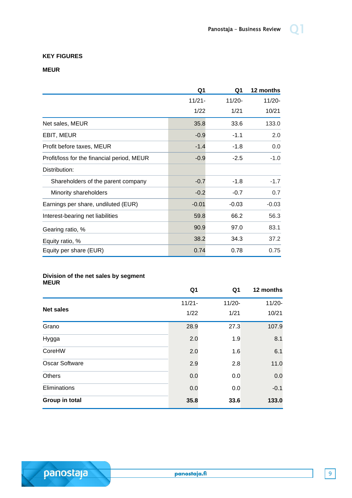### **KEY FIGURES**

### **MEUR**

|                                            | Q1        | Q1        | 12 months |
|--------------------------------------------|-----------|-----------|-----------|
|                                            | $11/21 -$ | $11/20 -$ | $11/20 -$ |
|                                            | 1/22      | 1/21      | 10/21     |
| Net sales, MEUR                            | 35.8      | 33.6      | 133.0     |
| EBIT, MEUR                                 | $-0.9$    | $-1.1$    | 2.0       |
| Profit before taxes, MEUR                  | $-1.4$    | -1.8      | 0.0       |
| Profit/loss for the financial period, MEUR | $-0.9$    | $-2.5$    | $-1.0$    |
| Distribution:                              |           |           |           |
| Shareholders of the parent company         | $-0.7$    | $-1.8$    | $-1.7$    |
| Minority shareholders                      | $-0.2$    | $-0.7$    | 0.7       |
| Earnings per share, undiluted (EUR)        | $-0.01$   | $-0.03$   | $-0.03$   |
| Interest-bearing net liabilities           | 59.8      | 66.2      | 56.3      |
| Gearing ratio, %                           | 90.9      | 97.0      | 83.1      |
| Equity ratio, %                            | 38.2      | 34.3      | 37.2      |
| Equity per share (EUR)                     | 0.74      | 0.78      | 0.75      |

#### **Division of the net sales by segment MEUR**

panostaja

|                       | Q <sub>1</sub> | Q <sub>1</sub> | 12 months |
|-----------------------|----------------|----------------|-----------|
|                       | $11/21 -$      | $11/20 -$      | $11/20 -$ |
| <b>Net sales</b>      | 1/22           | 1/21           | 10/21     |
| Grano                 | 28.9           | 27.3           | 107.9     |
| Hygga                 | 2.0            | 1.9            | 8.1       |
| CoreHW                | 2.0            | 1.6            | 6.1       |
| <b>Oscar Software</b> | 2.9            | 2.8            | 11.0      |
| Others                | 0.0            | 0.0            | 0.0       |
| Eliminations          | 0.0            | 0.0            | $-0.1$    |
| Group in total        | 35.8           | 33.6           | 133.0     |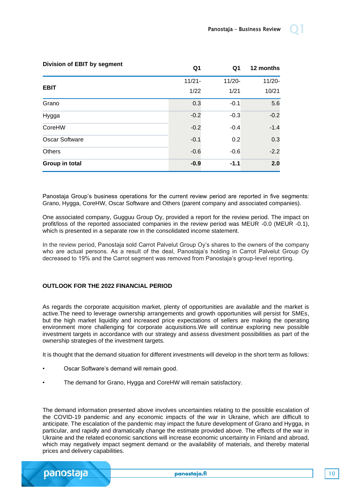| <b>Division of EBIT by segment</b> | Q1        | Q1        | 12 months |
|------------------------------------|-----------|-----------|-----------|
|                                    | $11/21 -$ | $11/20 -$ | $11/20 -$ |
| <b>EBIT</b>                        | 1/22      | 1/21      | 10/21     |
| Grano                              | 0.3       | $-0.1$    | 5.6       |
| Hygga                              | $-0.2$    | $-0.3$    | $-0.2$    |
| CoreHW                             | $-0.2$    | $-0.4$    | $-1.4$    |
| <b>Oscar Software</b>              | $-0.1$    | 0.2       | 0.3       |
| Others                             | $-0.6$    | $-0.6$    | $-2.2$    |
| Group in total                     | $-0.9$    | $-1.1$    | 2.0       |

Panostaja Group's business operations for the current review period are reported in five segments: Grano, Hygga, CoreHW, Oscar Software and Others (parent company and associated companies).

One associated company, Gugguu Group Oy, provided a report for the review period. The impact on profit/loss of the reported associated companies in the review period was MEUR -0.0 (MEUR -0.1), which is presented in a separate row in the consolidated income statement.

In the review period, Panostaja sold Carrot Palvelut Group Oy's shares to the owners of the company who are actual persons. As a result of the deal, Panostaja's holding in Carrot Palvelut Group Oy decreased to 19% and the Carrot segment was removed from Panostaja's group-level reporting.

### **OUTLOOK FOR THE 2022 FINANCIAL PERIOD**

As regards the corporate acquisition market, plenty of opportunities are available and the market is active.The need to leverage ownership arrangements and growth opportunities will persist for SMEs, but the high market liquidity and increased price expectations of sellers are making the operating environment more challenging for corporate acquisitions.We will continue exploring new possible investment targets in accordance with our strategy and assess divestment possibilities as part of the ownership strategies of the investment targets.

It is thought that the demand situation for different investments will develop in the short term as follows:

- Oscar Software's demand will remain good.
- The demand for Grano, Hygga and CoreHW will remain satisfactory.

The demand information presented above involves uncertainties relating to the possible escalation of the COVID-19 pandemic and any economic impacts of the war in Ukraine, which are difficult to anticipate. The escalation of the pandemic may impact the future development of Grano and Hygga, in particular, and rapidly and dramatically change the estimate provided above. The effects of the war in Ukraine and the related economic sanctions will increase economic uncertainty in Finland and abroad, which may negatively impact segment demand or the availability of materials, and thereby material prices and delivery capabilities.

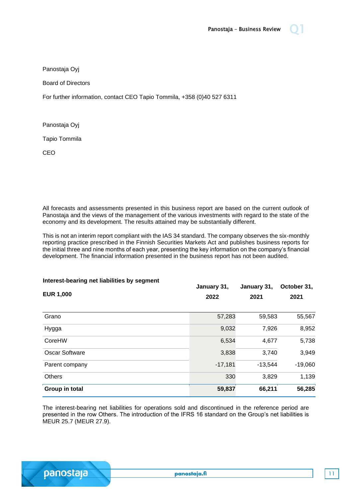

Board of Directors

For further information, contact CEO Tapio Tommila, +358 (0)40 527 6311

Panostaja Oyj

Tapio Tommila

CEO

All forecasts and assessments presented in this business report are based on the current outlook of Panostaja and the views of the management of the various investments with regard to the state of the economy and its development. The results attained may be substantially different.

This is not an interim report compliant with the IAS 34 standard. The company observes the six-monthly reporting practice prescribed in the Finnish Securities Markets Act and publishes business reports for the initial three and nine months of each year, presenting the key information on the company's financial development. The financial information presented in the business report has not been audited.

| Interest-bearing net liabilities by segment<br><b>EUR 1,000</b> | January 31,<br>2022 | January 31,<br>2021 | October 31,<br>2021 |
|-----------------------------------------------------------------|---------------------|---------------------|---------------------|
| Grano                                                           | 57,283              | 59,583              | 55,567              |
| Hygga                                                           | 9,032               | 7,926               | 8,952               |
| CoreHW                                                          | 6,534               | 4,677               | 5,738               |
| <b>Oscar Software</b>                                           | 3,838               | 3,740               | 3,949               |
| Parent company                                                  | $-17,181$           | $-13,544$           | $-19,060$           |
| <b>Others</b>                                                   | 330                 | 3,829               | 1,139               |
| Group in total                                                  | 59,837              | 66,211              | 56,285              |

The interest-bearing net liabilities for operations sold and discontinued in the reference period are presented in the row Others. The introduction of the IFRS 16 standard on the Group's net liabilities is MEUR 25.7 (MEUR 27.9).